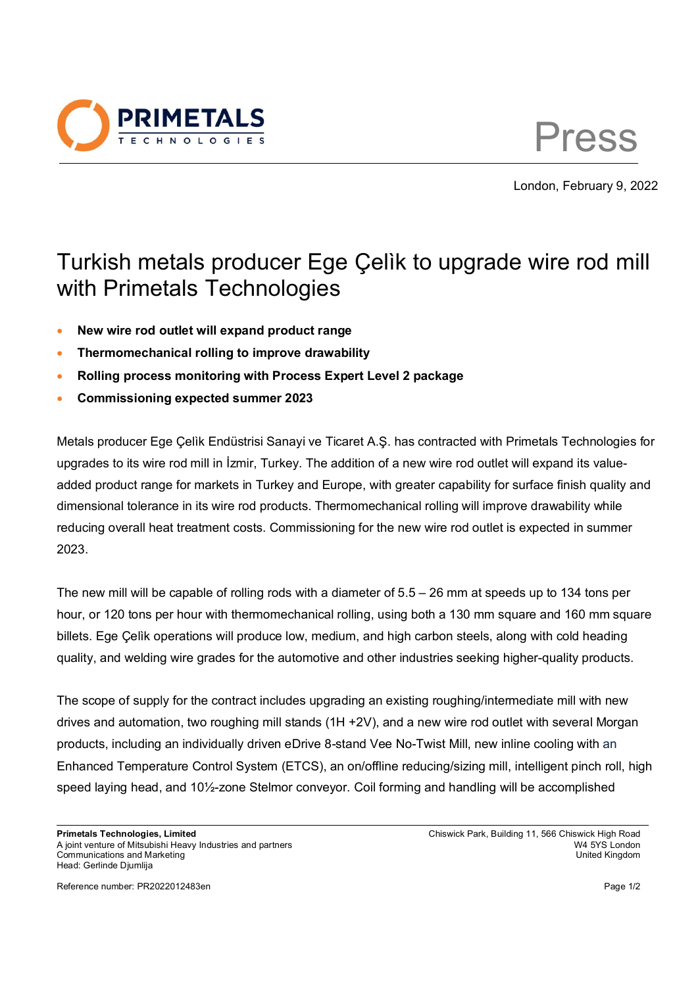

Press

London, February 9, 2022

## Turkish metals producer Ege Çelìk to upgrade wire rod mill with Primetals Technologies

- **New wire rod outlet will expand product range**
- **Thermomechanical rolling to improve drawability**
- **Rolling process monitoring with Process Expert Level 2 package**
- **Commissioning expected summer 2023**

Metals producer Ege Çelìk Endüstrisi Sanayi ve Ticaret A.Ş. has contracted with Primetals Technologies for upgrades to its wire rod mill in İzmir, Turkey. The addition of a new wire rod outlet will expand its valueadded product range for markets in Turkey and Europe, with greater capability for surface finish quality and dimensional tolerance in its wire rod products. Thermomechanical rolling will improve drawability while reducing overall heat treatment costs. Commissioning for the new wire rod outlet is expected in summer 2023.

The new mill will be capable of rolling rods with a diameter of 5.5 – 26 mm at speeds up to 134 tons per hour, or 120 tons per hour with thermomechanical rolling, using both a 130 mm square and 160 mm square billets. Ege Çelìk operations will produce low, medium, and high carbon steels, along with cold heading quality, and welding wire grades for the automotive and other industries seeking higher-quality products.

The scope of supply for the contract includes upgrading an existing roughing/intermediate mill with new drives and automation, two roughing mill stands (1H +2V), and a new wire rod outlet with several Morgan products, including an individually driven eDrive 8-stand Vee No-Twist Mill, new inline cooling with an Enhanced Temperature Control System (ETCS), an on/offline reducing/sizing mill, intelligent pinch roll, high speed laying head, and 10½-zone Stelmor conveyor. Coil forming and handling will be accomplished

Reference number: PR2022012483en Page 1/2